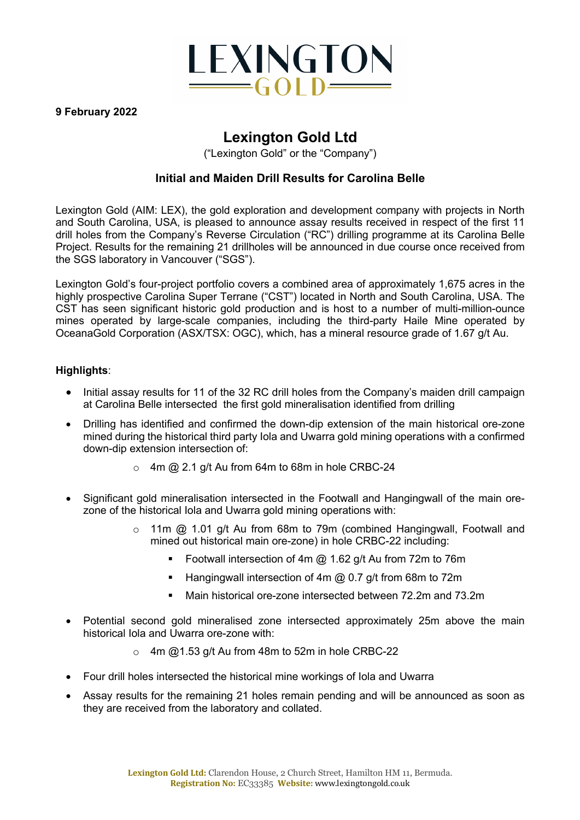

#### **9 February 2022**

# **Lexington Gold Ltd**

("Lexington Gold" or the "Company")

# **Initial and Maiden Drill Results for Carolina Belle**

Lexington Gold (AIM: LEX), the gold exploration and development company with projects in North and South Carolina, USA, is pleased to announce assay results received in respect of the first 11 drill holes from the Company's Reverse Circulation ("RC") drilling programme at its Carolina Belle Project. Results for the remaining 21 drillholes will be announced in due course once received from the SGS laboratory in Vancouver ("SGS").

Lexington Gold's four-project portfolio covers a combined area of approximately 1,675 acres in the highly prospective Carolina Super Terrane ("CST") located in North and South Carolina, USA. The CST has seen significant historic gold production and is host to a number of multi-million-ounce mines operated by large-scale companies, including the third-party Haile Mine operated by OceanaGold Corporation (ASX/TSX: OGC), which, has a mineral resource grade of 1.67 g/t Au.

## **Highlights**:

- Initial assay results for 11 of the 32 RC drill holes from the Company's maiden drill campaign at Carolina Belle intersected the first gold mineralisation identified from drilling
- Drilling has identified and confirmed the down-dip extension of the main historical ore-zone mined during the historical third party Iola and Uwarra gold mining operations with a confirmed down-dip extension intersection of:
	- $\circ$  4m @ 2.1 g/t Au from 64m to 68m in hole CRBC-24
- Significant gold mineralisation intersected in the Footwall and Hangingwall of the main orezone of the historical Iola and Uwarra gold mining operations with:
	- o 11m @ 1.01 g/t Au from 68m to 79m (combined Hangingwall, Footwall and mined out historical main ore-zone) in hole CRBC-22 including:
		- § Footwall intersection of 4m @ 1.62 g/t Au from 72m to 76m
		- Hangingwall intersection of 4m @ 0.7 g/t from 68m to 72m
		- Main historical ore-zone intersected between 72.2m and 73.2m
- Potential second gold mineralised zone intersected approximately 25m above the main historical Iola and Uwarra ore-zone with:
	- $\circ$  4m @1.53 g/t Au from 48m to 52m in hole CRBC-22
- Four drill holes intersected the historical mine workings of Iola and Uwarra
- Assay results for the remaining 21 holes remain pending and will be announced as soon as they are received from the laboratory and collated.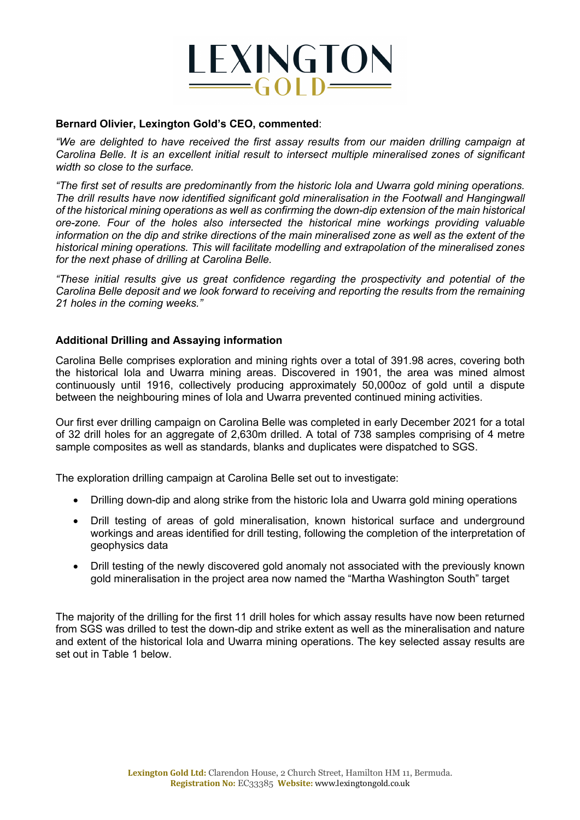

#### **Bernard Olivier, Lexington Gold's CEO, commented**:

*"We are delighted to have received the first assay results from our maiden drilling campaign at Carolina Belle. It is an excellent initial result to intersect multiple mineralised zones of significant width so close to the surface.*

*"The first set of results are predominantly from the historic Iola and Uwarra gold mining operations. The drill results have now identified significant gold mineralisation in the Footwall and Hangingwall of the historical mining operations as well as confirming the down-dip extension of the main historical ore-zone. Four of the holes also intersected the historical mine workings providing valuable information on the dip and strike directions of the main mineralised zone as well as the extent of the historical mining operations. This will facilitate modelling and extrapolation of the mineralised zones for the next phase of drilling at Carolina Belle.* 

*"These initial results give us great confidence regarding the prospectivity and potential of the Carolina Belle deposit and we look forward to receiving and reporting the results from the remaining 21 holes in the coming weeks."*

#### **Additional Drilling and Assaying information**

Carolina Belle comprises exploration and mining rights over a total of 391.98 acres, covering both the historical Iola and Uwarra mining areas. Discovered in 1901, the area was mined almost continuously until 1916, collectively producing approximately 50,000oz of gold until a dispute between the neighbouring mines of Iola and Uwarra prevented continued mining activities.

Our first ever drilling campaign on Carolina Belle was completed in early December 2021 for a total of 32 drill holes for an aggregate of 2,630m drilled. A total of 738 samples comprising of 4 metre sample composites as well as standards, blanks and duplicates were dispatched to SGS.

The exploration drilling campaign at Carolina Belle set out to investigate:

- Drilling down-dip and along strike from the historic Iola and Uwarra gold mining operations
- Drill testing of areas of gold mineralisation, known historical surface and underground workings and areas identified for drill testing, following the completion of the interpretation of geophysics data
- Drill testing of the newly discovered gold anomaly not associated with the previously known gold mineralisation in the project area now named the "Martha Washington South" target

The majority of the drilling for the first 11 drill holes for which assay results have now been returned from SGS was drilled to test the down-dip and strike extent as well as the mineralisation and nature and extent of the historical Iola and Uwarra mining operations. The key selected assay results are set out in Table 1 below.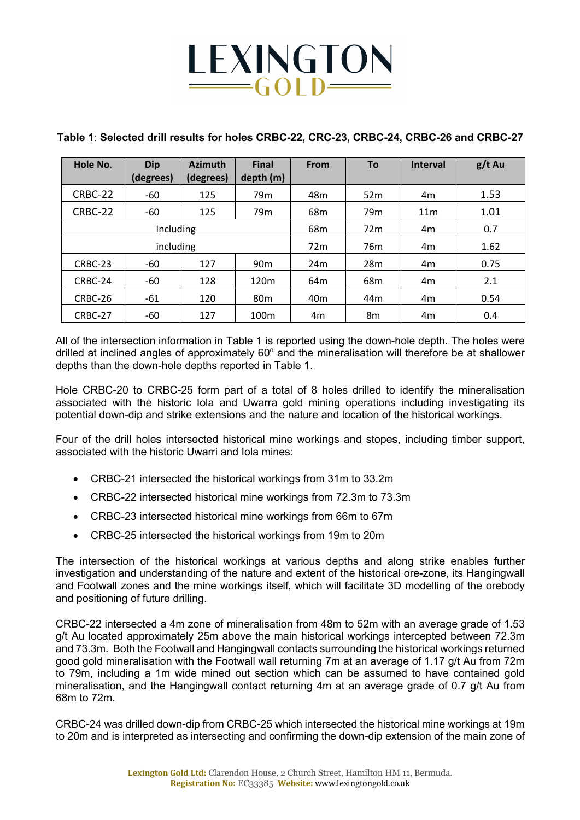# LEXINGTON

# **Table 1**: **Selected drill results for holes CRBC-22, CRC-23, CRBC-24, CRBC-26 and CRBC-27**

| Hole No.  | <b>Dip</b><br>(degrees) | <b>Azimuth</b><br>(degrees) | <b>Final</b><br>depth (m) | <b>From</b>     | Τo              | <b>Interval</b> | $g/t$ Au |
|-----------|-------------------------|-----------------------------|---------------------------|-----------------|-----------------|-----------------|----------|
| CRBC-22   | -60                     | 125                         | 79 <sub>m</sub>           | 48m             | 52m             | 4m              | 1.53     |
| CRBC-22   | -60                     | 125                         | 79 <sub>m</sub>           | 68 <sub>m</sub> | 79 <sub>m</sub> | 11 <sub>m</sub> | 1.01     |
| Including |                         |                             |                           | 68m             | 72m             | 4m              | 0.7      |
| including |                         |                             |                           | 72m             | 76 <sub>m</sub> | 4m              | 1.62     |
| CRBC-23   | -60                     | 127                         | 90 <sub>m</sub>           | 24 <sub>m</sub> | 28m             | 4m              | 0.75     |
| CRBC-24   | -60                     | 128                         | 120 <sub>m</sub>          | 64m             | 68 <sub>m</sub> | 4m              | 2.1      |
| CRBC-26   | -61                     | 120                         | 80 <sub>m</sub>           | 40 <sub>m</sub> | 44 <sub>m</sub> | 4m              | 0.54     |
| CRBC-27   | -60                     | 127                         | 100 <sub>m</sub>          | 4m              | 8m              | 4m              | 0.4      |

All of the intersection information in Table 1 is reported using the down-hole depth. The holes were drilled at inclined angles of approximately  $60^\circ$  and the mineralisation will therefore be at shallower depths than the down-hole depths reported in Table 1.

Hole CRBC-20 to CRBC-25 form part of a total of 8 holes drilled to identify the mineralisation associated with the historic Iola and Uwarra gold mining operations including investigating its potential down-dip and strike extensions and the nature and location of the historical workings.

Four of the drill holes intersected historical mine workings and stopes, including timber support, associated with the historic Uwarri and Iola mines:

- CRBC-21 intersected the historical workings from 31m to 33.2m
- CRBC-22 intersected historical mine workings from 72.3m to 73.3m
- CRBC-23 intersected historical mine workings from 66m to 67m
- CRBC-25 intersected the historical workings from 19m to 20m

The intersection of the historical workings at various depths and along strike enables further investigation and understanding of the nature and extent of the historical ore-zone, its Hangingwall and Footwall zones and the mine workings itself, which will facilitate 3D modelling of the orebody and positioning of future drilling.

CRBC-22 intersected a 4m zone of mineralisation from 48m to 52m with an average grade of 1.53 g/t Au located approximately 25m above the main historical workings intercepted between 72.3m and 73.3m. Both the Footwall and Hangingwall contacts surrounding the historical workings returned good gold mineralisation with the Footwall wall returning 7m at an average of 1.17 g/t Au from 72m to 79m, including a 1m wide mined out section which can be assumed to have contained gold mineralisation, and the Hangingwall contact returning 4m at an average grade of 0.7 g/t Au from 68m to 72m.

CRBC-24 was drilled down-dip from CRBC-25 which intersected the historical mine workings at 19m to 20m and is interpreted as intersecting and confirming the down-dip extension of the main zone of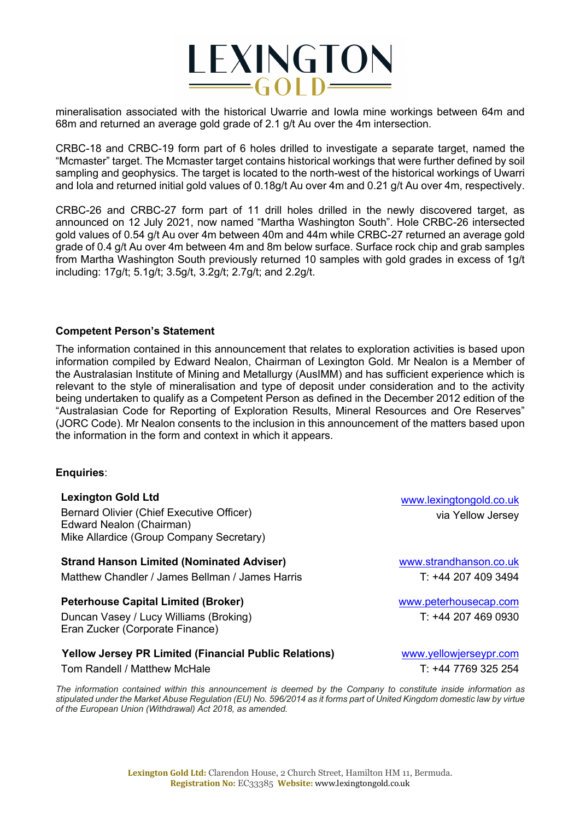

mineralisation associated with the historical Uwarrie and Iowla mine workings between 64m and 68m and returned an average gold grade of 2.1 g/t Au over the 4m intersection.

CRBC-18 and CRBC-19 form part of 6 holes drilled to investigate a separate target, named the "Mcmaster" target. The Mcmaster target contains historical workings that were further defined by soil sampling and geophysics. The target is located to the north-west of the historical workings of Uwarri and Iola and returned initial gold values of 0.18g/t Au over 4m and 0.21 g/t Au over 4m, respectively.

CRBC-26 and CRBC-27 form part of 11 drill holes drilled in the newly discovered target, as announced on 12 July 2021, now named "Martha Washington South". Hole CRBC-26 intersected gold values of 0.54 g/t Au over 4m between 40m and 44m while CRBC-27 returned an average gold grade of 0.4 g/t Au over 4m between 4m and 8m below surface. Surface rock chip and grab samples from Martha Washington South previously returned 10 samples with gold grades in excess of 1g/t including: 17g/t; 5.1g/t; 3.5g/t, 3.2g/t; 2.7g/t; and 2.2g/t.

#### **Competent Person's Statement**

The information contained in this announcement that relates to exploration activities is based upon information compiled by Edward Nealon, Chairman of Lexington Gold. Mr Nealon is a Member of the Australasian Institute of Mining and Metallurgy (AusIMM) and has sufficient experience which is relevant to the style of mineralisation and type of deposit under consideration and to the activity being undertaken to qualify as a Competent Person as defined in the December 2012 edition of the "Australasian Code for Reporting of Exploration Results, Mineral Resources and Ore Reserves" (JORC Code). Mr Nealon consents to the inclusion in this announcement of the matters based upon the information in the form and context in which it appears.

#### **Enquiries**:

#### **Lexington Gold Ltd**

Bernard Olivier (Chief Executive Officer) Edward Nealon (Chairman) Mike Allardice (Group Company Secretary)

**Strand Hanson Limited (Nominated Adviser)** Matthew Chandler / James Bellman / James Harris

#### **Peterhouse Capital Limited (Broker)**

Duncan Vasey / Lucy Williams (Broking) Eran Zucker (Corporate Finance)

#### **Yellow Jersey PR Limited (Financial Public Relations)**

Tom Randell / Matthew McHale

*The information contained within this announcement is deemed by the Company to constitute inside information as stipulated under the Market Abuse Regulation (EU) No. 596/2014 as it forms part of United Kingdom domestic law by virtue of the European Union (Withdrawal) Act 2018, as amended.*

www.lexingtongold.co.uk via Yellow Jersey

www.strandhanson.co.uk T: +44 207 409 3494

www.peterhousecap.com T: +44 207 469 0930

www.yellowjerseypr.com T: +44 7769 325 254